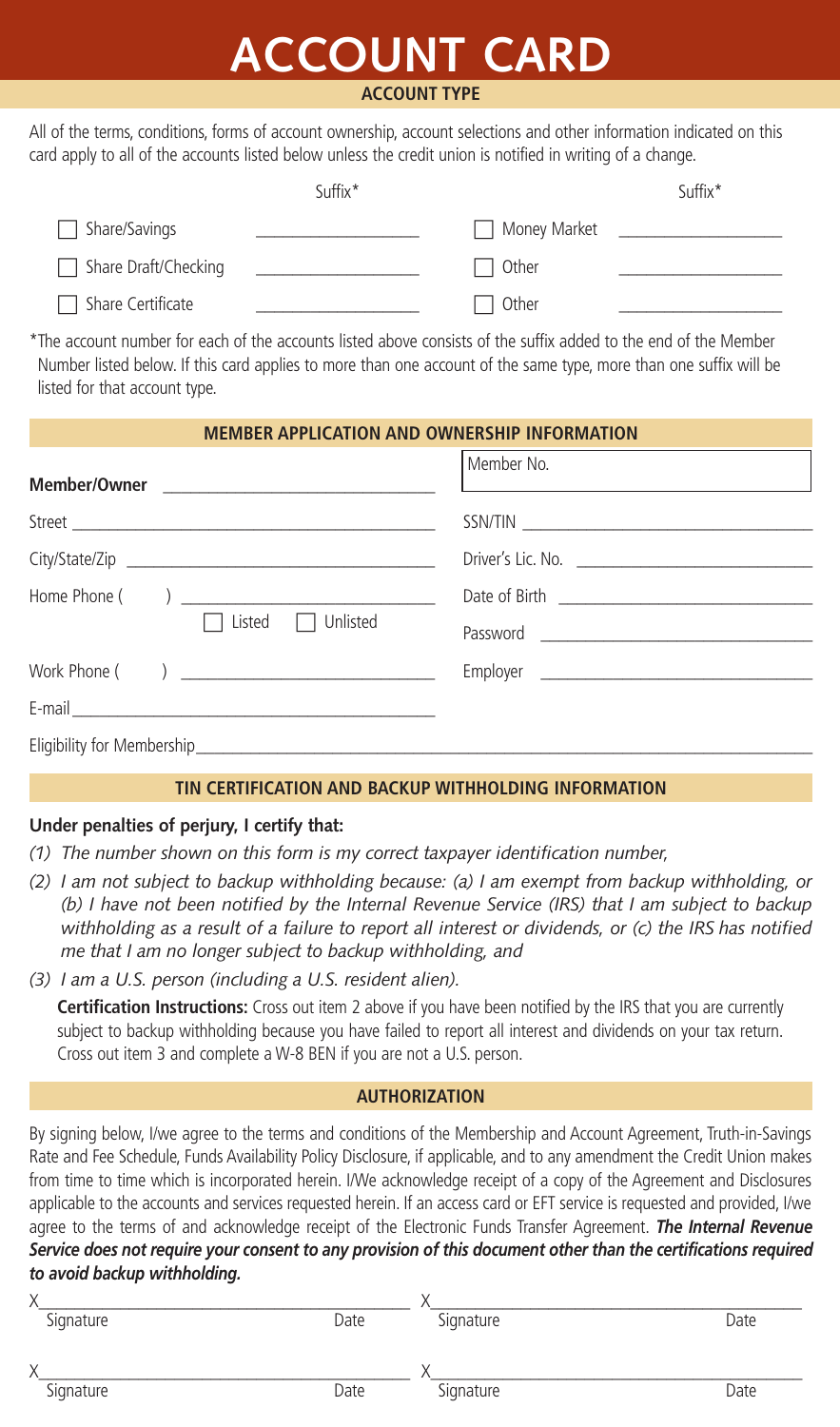# **ACCOUNT CARD**

#### **ACCOUNT TYPE**

All of the terms, conditions, forms of account ownership, account selections and other information indicated on this card apply to all of the accounts listed below unless the credit union is notified in writing of a change.

|                          | Suffix* |                | Suffix* |
|--------------------------|---------|----------------|---------|
| $\Box$ Share/Savings     |         | □ Money Market |         |
| □ Share Draft/Checking   |         | l Other        |         |
| $\Box$ Share Certificate |         | □ Other        |         |

\*The account number for each of the accounts listed above consists of the suffix added to the end of the Member Number listed below. If this card applies to more than one account of the same type, more than one suffix will be listed for that account type.

| <b>MEMBER APPLICATION AND OWNERSHIP INFORMATION</b> |  |            |  |  |
|-----------------------------------------------------|--|------------|--|--|
|                                                     |  | Member No. |  |  |
|                                                     |  | SSN/TIN    |  |  |
|                                                     |  |            |  |  |
| Listed $\Box$ Unlisted                              |  |            |  |  |
|                                                     |  |            |  |  |
|                                                     |  |            |  |  |
|                                                     |  |            |  |  |
|                                                     |  |            |  |  |

### **TIN CERTIFICATION AND BACKUP WITHHOLDING INFORMATION**

## **Under penalties of perjury, I certify that:**

- *(1) The number shown on this form is my correct taxpayer identification number,*
- *(2) I am not subject to backup withholding because: (a) I am exempt from backup withholding, or (b) I have not been notified by the Internal Revenue Service (IRS) that I am subject to backup withholding as a result of a failure to report all interest or dividends, or (c) the IRS has notified me that I am no longer subject to backup withholding, and*
- *(3) I am a U.S. person (including a U.S. resident alien).*

**Certification Instructions:** Cross out item 2 above if you have been notified by the IRS that you are currently subject to backup withholding because you have failed to report all interest and dividends on your tax return. Cross out item 3 and complete a W-8 BEN if you are not a U.S. person.

#### **AUTHORIZATION**

By signing below, I/we agree to the terms and conditions of the Membership and Account Agreement, Truth-in-Savings Rate and Fee Schedule, Funds Availability Policy Disclosure, if applicable, and to any amendment the Credit Union makes from time to time which is incorporated herein. I/We acknowledge receipt of a copy of the Agreement and Disclosures applicable to the accounts and services requested herein. If an access card or EFT service is requested and provided, I/we agree to the terms of and acknowledge receipt of the Electronic Funds Transfer Agreement. *The Internal Revenue Service does not require your consent to any provision of this document other than the certifications required to avoid backup withholding.* 

| $\sqrt{}$         |      |           |      |
|-------------------|------|-----------|------|
| Signature         | Date | Signature | Date |
| $\checkmark$<br>Λ |      |           |      |
| Signature         | Date | Signature | Date |